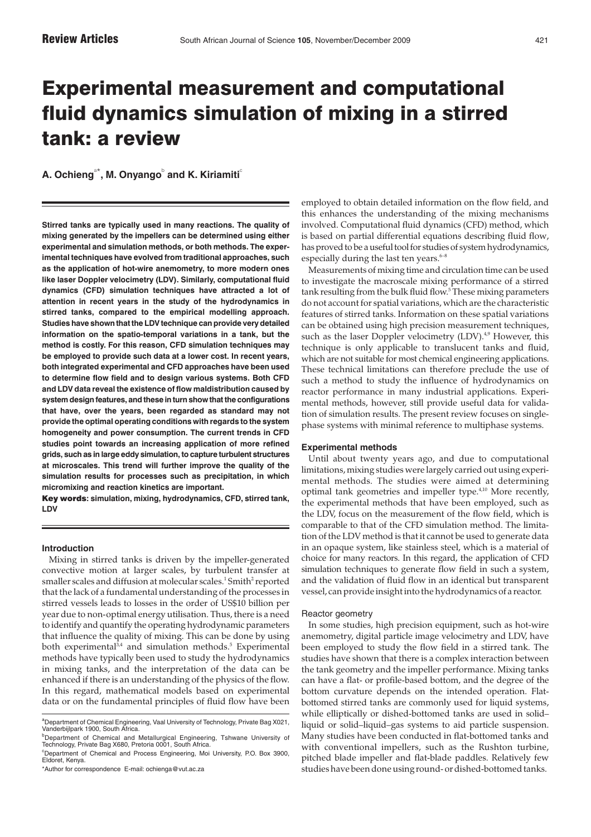# Experimental measurement and computational fluid dynamics simulation of mixing in a stirred tank: a review

 $\mathsf{A}\textup{. } \mathsf{O}$ chieng $^{\circ\ast}, \mathsf{M}\textup{. } \mathsf{O}$ nyango $^{\circ}$  and K. Kiriamiti $^{\circ}$ 

**Stirred tanks are typically used in many reactions. The quality of mixing generated by the impellers can be determined using either experimental and simulation methods, or both methods. The experimental techniques have evolved from traditional approaches, such as the application of hot-wire anemometry, to more modern ones like laser Doppler velocimetry (LDV). Similarly, computational fluid dynamics (CFD) simulation techniques have attracted a lot of attention in recent years in the study of the hydrodynamics in stirred tanks, compared to the empirical modelling approach. Studies have shown that the LDV technique can provide very detailed information on the spatio-temporal variations in a tank, but the method is costly. For this reason, CFD simulation techniques may be employed to provide such data at a lower cost. In recent years, both integrated experimental and CFD approaches have been used to determine flow field and to design various systems. Both CFD and LDV data reveal the existence of flow maldistribution caused by system design features, and these in turn show that the configurations that have, over the years, been regarded as standard may not provide the optimal operating conditions with regards to the system homogeneity and power consumption. The current trends in CFD studies point towards an increasing application of more refined grids, such as in large eddy simulation, to capture turbulent structures at microscales. This trend will further improve the quality of the simulation results for processes such as precipitation, in which micromixing and reaction kinetics are important.**

Key words**: simulation, mixing, hydrodynamics, CFD, stirred tank, LDV**

## **Introduction**

Mixing in stirred tanks is driven by the impeller-generated convective motion at larger scales, by turbulent transfer at smaller scales and diffusion at molecular scales.<sup>1</sup> Smith<sup>2</sup> reported that the lack of a fundamental understanding of the processes in stirred vessels leads to losses in the order of US\$10 billion per year due to non-optimal energy utilisation. Thus, there is a need to identify and quantify the operating hydrodynamic parameters that influence the quality of mixing. This can be done by using both experimental<sup>3,4</sup> and simulation methods.<sup>5</sup> Experimental methods have typically been used to study the hydrodynamics in mixing tanks, and the interpretation of the data can be enhanced if there is an understanding of the physics of the flow. In this regard, mathematical models based on experimental data or on the fundamental principles of fluid flow have been

\*Author for correspondence E-mail: ochienga@vut.ac.za

employed to obtain detailed information on the flow field, and this enhances the understanding of the mixing mechanisms involved. Computational fluid dynamics (CFD) method, which is based on partial differential equations describing fluid flow, has proved to be a useful tool for studies of system hydrodynamics, especially during the last ten years. $6-8$ 

Measurements of mixing time and circulation time can be used to investigate the macroscale mixing performance of a stirred tank resulting from the bulk fluid flow.<sup>5</sup> These mixing parameters do not account for spatial variations, which are the characteristic features of stirred tanks. Information on these spatial variations can be obtained using high precision measurement techniques, such as the laser Doppler velocimetry  $(LDV)^{4,9}$  However, this technique is only applicable to translucent tanks and fluid, which are not suitable for most chemical engineering applications. These technical limitations can therefore preclude the use of such a method to study the influence of hydrodynamics on reactor performance in many industrial applications. Experimental methods, however, still provide useful data for validation of simulation results. The present review focuses on singlephase systems with minimal reference to multiphase systems.

# **Experimental methods**

Until about twenty years ago, and due to computational limitations, mixing studies were largely carried out using experimental methods. The studies were aimed at determining optimal tank geometries and impeller type.<sup>4,10</sup> More recently, the experimental methods that have been employed, such as the LDV, focus on the measurement of the flow field, which is comparable to that of the CFD simulation method. The limitation of the LDV method is that it cannot be used to generate data in an opaque system, like stainless steel, which is a material of choice for many reactors. In this regard, the application of CFD simulation techniques to generate flow field in such a system, and the validation of fluid flow in an identical but transparent vessel, can provide insight into the hydrodynamics of a reactor.

## Reactor geometry

In some studies, high precision equipment, such as hot-wire anemometry, digital particle image velocimetry and LDV, have been employed to study the flow field in a stirred tank. The studies have shown that there is a complex interaction between the tank geometry and the impeller performance. Mixing tanks can have a flat- or profile-based bottom, and the degree of the bottom curvature depends on the intended operation. Flatbottomed stirred tanks are commonly used for liquid systems, while elliptically or dished-bottomed tanks are used in solid– liquid or solid–liquid–gas systems to aid particle suspension. Many studies have been conducted in flat-bottomed tanks and with conventional impellers, such as the Rushton turbine, pitched blade impeller and flat-blade paddles. Relatively few studies have been done using round- or dished-bottomed tanks.

<sup>&</sup>lt;sup>a</sup>Department of Chemical Engineering, Vaal University of Technology, Private Bag X021,<br>Vanderbijlpark 1900, South Africa.

b Department of Chemical and Metallurgical Engineering, Tshwane University of Technology, Private Bag X680, Pretoria 0001, South Africa.

<sup>&</sup>lt;sup>c</sup>Department of Chemical and Process Engineering, Moi University, P.O. Box 3900, Eldoret, Kenya.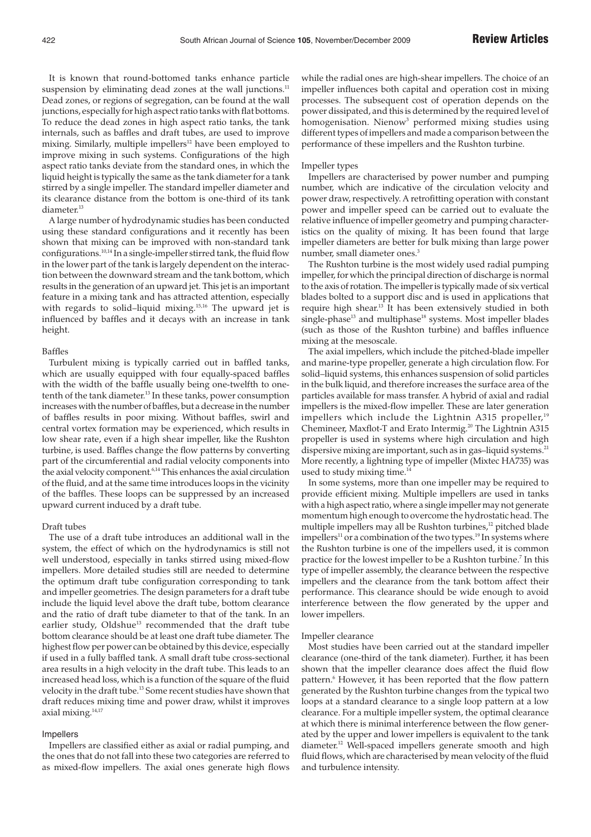It is known that round-bottomed tanks enhance particle suspension by eliminating dead zones at the wall junctions.<sup>11</sup> Dead zones, or regions of segregation, can be found at the wall junctions, especially for high aspect ratio tanks with flat bottoms. To reduce the dead zones in high aspect ratio tanks, the tank internals, such as baffles and draft tubes, are used to improve mixing. Similarly, multiple impellers<sup>12</sup> have been employed to improve mixing in such systems. Configurations of the high aspect ratio tanks deviate from the standard ones, in which the liquid height is typically the same as the tank diameter for a tank stirred by a single impeller. The standard impeller diameter and its clearance distance from the bottom is one-third of its tank diameter<sup>13</sup>

A large number of hydrodynamic studies has been conducted using these standard configurations and it recently has been shown that mixing can be improved with non-standard tank configurations.10,14 In a single-impeller stirred tank, the fluid flow in the lower part of the tank is largely dependent on the interaction between the downward stream and the tank bottom, which results in the generation of an upward jet. This jet is an important feature in a mixing tank and has attracted attention, especially with regards to solid-liquid mixing.<sup>15,16</sup> The upward jet is influenced by baffles and it decays with an increase in tank height.

## Baffles

Turbulent mixing is typically carried out in baffled tanks, which are usually equipped with four equally-spaced baffles with the width of the baffle usually being one-twelfth to onetenth of the tank diameter.13 In these tanks, power consumption increases with the number of baffles, but a decrease in the number of baffles results in poor mixing. Without baffles, swirl and central vortex formation may be experienced, which results in low shear rate, even if a high shear impeller, like the Rushton turbine, is used. Baffles change the flow patterns by converting part of the circumferential and radial velocity components into the axial velocity component.<sup>6,14</sup> This enhances the axial circulation of the fluid, and at the same time introduces loops in the vicinity of the baffles. These loops can be suppressed by an increased upward current induced by a draft tube.

## Draft tubes

The use of a draft tube introduces an additional wall in the system, the effect of which on the hydrodynamics is still not well understood, especially in tanks stirred using mixed-flow impellers. More detailed studies still are needed to determine the optimum draft tube configuration corresponding to tank and impeller geometries. The design parameters for a draft tube include the liquid level above the draft tube, bottom clearance and the ratio of draft tube diameter to that of the tank. In an earlier study, Oldshue<sup>13</sup> recommended that the draft tube bottom clearance should be at least one draft tube diameter. The highest flow per power can be obtained by this device, especially if used in a fully baffled tank. A small draft tube cross-sectional area results in a high velocity in the draft tube. This leads to an increased head loss, which is a function of the square of the fluid velocity in the draft tube.<sup>13</sup> Some recent studies have shown that draft reduces mixing time and power draw, whilst it improves axial mixing.<sup>14,17</sup>

## Impellers

Impellers are classified either as axial or radial pumping, and the ones that do not fall into these two categories are referred to as mixed-flow impellers. The axial ones generate high flows while the radial ones are high-shear impellers. The choice of an impeller influences both capital and operation cost in mixing processes. The subsequent cost of operation depends on the power dissipated, and this is determined by the required level of homogenisation. Nienow<sup>3</sup> performed mixing studies using different types of impellers and made a comparison between the performance of these impellers and the Rushton turbine.

#### Impeller types

Impellers are characterised by power number and pumping number, which are indicative of the circulation velocity and power draw, respectively. A retrofitting operation with constant power and impeller speed can be carried out to evaluate the relative influence of impeller geometry and pumping characteristics on the quality of mixing. It has been found that large impeller diameters are better for bulk mixing than large power number, small diameter ones.<sup>3</sup>

The Rushton turbine is the most widely used radial pumping impeller, for which the principal direction of discharge is normal to the axis of rotation. The impeller is typically made of six vertical blades bolted to a support disc and is used in applications that require high shear.<sup>13</sup> It has been extensively studied in both single-phase<sup>13</sup> and multiphase<sup>18</sup> systems. Most impeller blades (such as those of the Rushton turbine) and baffles influence mixing at the mesoscale.

The axial impellers, which include the pitched-blade impeller and marine-type propeller, generate a high circulation flow. For solid–liquid systems, this enhances suspension of solid particles in the bulk liquid, and therefore increases the surface area of the particles available for mass transfer. A hybrid of axial and radial impellers is the mixed-flow impeller. These are later generation impellers which include the Lightnin A315 propeller,<sup>19</sup> Chemineer, Maxflot-T and Erato Intermig.<sup>20</sup> The Lightnin A315 propeller is used in systems where high circulation and high dispersive mixing are important, such as in gas-liquid systems.<sup>21</sup> More recently, a lightning type of impeller (Mixtec HA735) was used to study mixing time.<sup>14</sup>

In some systems, more than one impeller may be required to provide efficient mixing. Multiple impellers are used in tanks with a high aspect ratio, where a single impeller may not generate momentum high enough to overcome the hydrostatic head. The multiple impellers may all be Rushton turbines,<sup>12</sup> pitched blade impellers<sup>11</sup> or a combination of the two types.<sup>19</sup> In systems where the Rushton turbine is one of the impellers used, it is common practice for the lowest impeller to be a Rushton turbine.<sup>7</sup> In this type of impeller assembly, the clearance between the respective impellers and the clearance from the tank bottom affect their performance. This clearance should be wide enough to avoid interference between the flow generated by the upper and lower impellers.

## Impeller clearance

Most studies have been carried out at the standard impeller clearance (one-third of the tank diameter). Further, it has been shown that the impeller clearance does affect the fluid flow pattern.<sup>6</sup> However, it has been reported that the flow pattern generated by the Rushton turbine changes from the typical two loops at a standard clearance to a single loop pattern at a low clearance. For a multiple impeller system, the optimal clearance at which there is minimal interference between the flow generated by the upper and lower impellers is equivalent to the tank diameter.12 Well-spaced impellers generate smooth and high fluid flows, which are characterised by mean velocity of the fluid and turbulence intensity.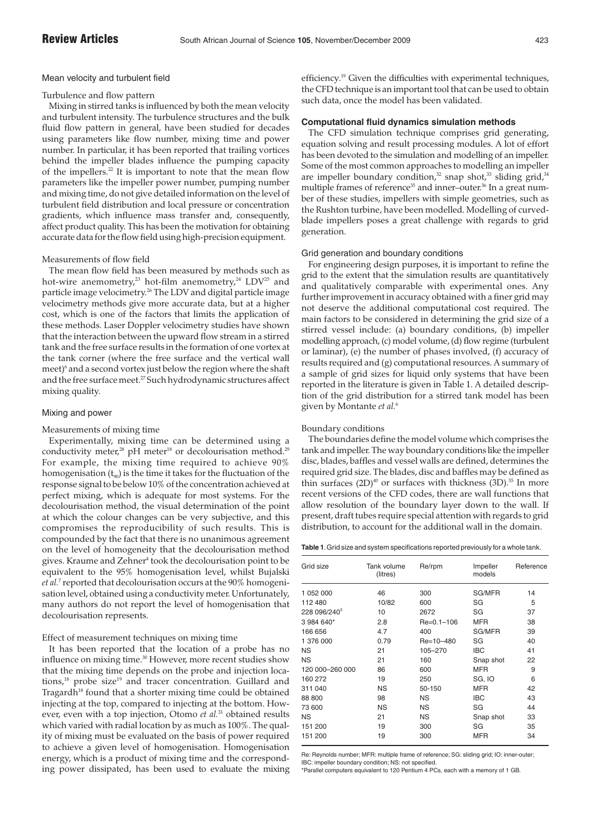Mean velocity and turbulent field

## Turbulence and flow pattern

Mixing in stirred tanks is influenced by both the mean velocity and turbulent intensity. The turbulence structures and the bulk fluid flow pattern in general, have been studied for decades using parameters like flow number, mixing time and power number. In particular, it has been reported that trailing vortices behind the impeller blades influence the pumping capacity of the impellers.<sup>22</sup> It is important to note that the mean flow parameters like the impeller power number, pumping number and mixing time, do not give detailed information on the level of turbulent field distribution and local pressure or concentration gradients, which influence mass transfer and, consequently, affect product quality. This has been the motivation for obtaining accurate data for the flow field using high-precision equipment.

## Measurements of flow field

The mean flow field has been measured by methods such as hot-wire anemometry,<sup>23</sup> hot-film anemometry,<sup>24</sup> LDV<sup>25</sup> and particle image velocimetry.<sup>26</sup> The LDV and digital particle image velocimetry methods give more accurate data, but at a higher cost, which is one of the factors that limits the application of these methods. Laser Doppler velocimetry studies have shown that the interaction between the upward flow stream in a stirred tank and the free surface results in the formation of one vortex at the tank corner (where the free surface and the vertical wall meet)<sup>6</sup> and a second vortex just below the region where the shaft and the free surface meet.<sup>27</sup> Such hydrodynamic structures affect mixing quality.

#### Mixing and power

#### Measurements of mixing time

Experimentally, mixing time can be determined using a conductivity meter,<sup>28</sup> pH meter<sup>18</sup> or decolourisation method.<sup>29</sup> For example, the mixing time required to achieve 90% homogenisation  $(t_{90})$  is the time it takes for the fluctuation of the response signal to be below 10% of the concentration achieved at perfect mixing, which is adequate for most systems. For the decolourisation method, the visual determination of the point at which the colour changes can be very subjective, and this compromises the reproducibility of such results. This is compounded by the fact that there is no unanimous agreement on the level of homogeneity that the decolourisation method gives. Kraume and Zehner<sup>4</sup> took the decolourisation point to be equivalent to the 95% homogenisation level, whilst Bujalski *et al.*<sup>7</sup> reported that decolourisation occurs at the 90% homogenisation level, obtained using a conductivity meter. Unfortunately, many authors do not report the level of homogenisation that decolourisation represents.

Effect of measurement techniques on mixing time

It has been reported that the location of a probe has no influence on mixing time.<sup>30</sup> However, more recent studies show that the mixing time depends on the probe and injection locations,<sup>18</sup> probe size<sup>19</sup> and tracer concentration. Guillard and Tragardh<sup>18</sup> found that a shorter mixing time could be obtained injecting at the top, compared to injecting at the bottom. However, even with a top injection, Otomo *et al.*<sup>31</sup> obtained results which varied with radial location by as much as 100%. The quality of mixing must be evaluated on the basis of power required to achieve a given level of homogenisation. Homogenisation energy, which is a product of mixing time and the corresponding power dissipated, has been used to evaluate the mixing efficiency.19 Given the difficulties with experimental techniques, the CFD technique is an important tool that can be used to obtain such data, once the model has been validated.

## **Computational fluid dynamics simulation methods**

The CFD simulation technique comprises grid generating, equation solving and result processing modules. A lot of effort has been devoted to the simulation and modelling of an impeller. Some of the most common approaches to modelling an impeller are impeller boundary condition, $32$  snap shot, $33$  sliding grid, $34$ multiple frames of reference<sup>35</sup> and inner-outer.<sup>36</sup> In a great number of these studies, impellers with simple geometries, such as the Rushton turbine, have been modelled. Modelling of curvedblade impellers poses a great challenge with regards to grid generation.

#### Grid generation and boundary conditions

For engineering design purposes, it is important to refine the grid to the extent that the simulation results are quantitatively and qualitatively comparable with experimental ones. Any further improvement in accuracy obtained with a finer grid may not deserve the additional computational cost required. The main factors to be considered in determining the grid size of a stirred vessel include: (a) boundary conditions, (b) impeller modelling approach, (c) model volume, (d) flow regime (turbulent or laminar), (e) the number of phases involved, (f) accuracy of results required and (g) computational resources. A summary of a sample of grid sizes for liquid only systems that have been reported in the literature is given in Table 1. A detailed description of the grid distribution for a stirred tank model has been given by Montante *et al.*<sup>6</sup>

## Boundary conditions

The boundaries define the model volume which comprises the tank and impeller. The way boundary conditions like the impeller disc, blades, baffles and vessel walls are defined, determines the required grid size. The blades, disc and baffles may be defined as thin surfaces  $(2D)^{40}$  or surfaces with thickness  $(3D)$ .<sup>35</sup> In more recent versions of the CFD codes, there are wall functions that allow resolution of the boundary layer down to the wall. If present, draft tubes require special attention with regards to grid distribution, to account for the additional wall in the domain.

**Table 1**.Grid size and system specifications reported previously for a whole tank.

| Grid size                | Tank volume<br>(litres) | Re/rpm          | Impeller<br>models | Reference |
|--------------------------|-------------------------|-----------------|--------------------|-----------|
| 1 052 000                | 46                      | 300             | SG/MFR             | 14        |
| 112 480                  | 10/82                   | 600             | SG                 | 5         |
| 228 096/240 <sup>3</sup> | 10                      | 2672            | SG                 | 37        |
| 3 984 640*               | 2.8                     | $Re=0.1-106$    | <b>MFR</b>         | 38        |
| 166 656                  | 4.7                     | 400             | <b>SG/MFR</b>      | 39        |
| 1 376 000                | 0.79                    | $Re = 10 - 480$ | SG                 | 40        |
| <b>NS</b>                | 21                      | 105-270         | <b>IBC</b>         | 41        |
| <b>NS</b>                | 21                      | 160             | Snap shot          | 22        |
| 120 000-260 000          | 86                      | 600             | <b>MFR</b>         | 9         |
| 160 272                  | 19                      | 250             | <b>SG, IO</b>      | 6         |
| 311 040                  | NS                      | 50-150          | <b>MFR</b>         | 42        |
| 88 800                   | 98                      | <b>NS</b>       | <b>IBC</b>         | 43        |
| 73 600                   | <b>NS</b>               | <b>NS</b>       | SG                 | 44        |
| <b>NS</b>                | 21                      | <b>NS</b>       | Snap shot          | 33        |
| 151 200                  | 19                      | 300             | SG                 | 35        |
| 151 200                  | 19                      | 300             | <b>MFR</b>         | 34        |

Re: Reynolds number; MFR: multiple frame of reference; SG: sliding grid; IO: inner-outer; IBC: impeller boundary condition; NS: not specified.

\*Parallel computers equivalent to 120 Pentium 4 PCs, each with a memory of 1 GB.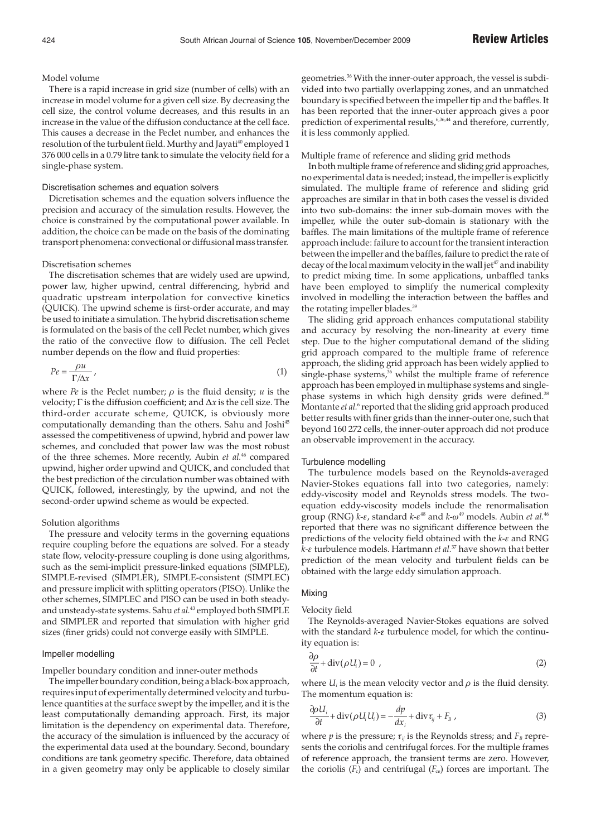### Model volume

There is a rapid increase in grid size (number of cells) with an increase in model volume for a given cell size. By decreasing the cell size, the control volume decreases, and this results in an increase in the value of the diffusion conductance at the cell face. This causes a decrease in the Peclet number, and enhances the resolution of the turbulent field. Murthy and Jayati<sup>40</sup> employed 1 376 000 cells in a 0.79 litre tank to simulate the velocity field for a single-phase system.

## Discretisation schemes and equation solvers

Dicretisation schemes and the equation solvers influence the precision and accuracy of the simulation results. However, the choice is constrained by the computational power available. In addition, the choice can be made on the basis of the dominating transport phenomena: convectional or diffusional mass transfer.

#### Discretisation schemes

The discretisation schemes that are widely used are upwind, power law, higher upwind, central differencing, hybrid and quadratic upstream interpolation for convective kinetics (QUICK). The upwind scheme is first-order accurate, and may be used to initiate a simulation. The hybrid discretisation scheme is formulated on the basis of the cell Peclet number, which gives the ratio of the convective flow to diffusion. The cell Peclet number depends on the flow and fluid properties:

$$
Pe = \frac{\rho u}{\Gamma/\Delta x},\tag{1}
$$

where *Pe* is the Peclet number;  $\rho$  is the fluid density;  $u$  is the velocity; Γ is the diffusion coefficient; and ∆*x* is the cell size. The third-order accurate scheme, QUICK, is obviously more computationally demanding than the others. Sahu and Joshi<sup>45</sup> assessed the competitiveness of upwind, hybrid and power law schemes, and concluded that power law was the most robust of the three schemes. More recently, Aubin *et al.*<sup>46</sup> compared upwind, higher order upwind and QUICK, and concluded that the best prediction of the circulation number was obtained with QUICK, followed, interestingly, by the upwind, and not the second-order upwind scheme as would be expected.

## Solution algorithms

The pressure and velocity terms in the governing equations require coupling before the equations are solved. For a steady state flow, velocity-pressure coupling is done using algorithms, such as the semi-implicit pressure-linked equations (SIMPLE), SIMPLE-revised (SIMPLER), SIMPLE-consistent (SIMPLEC) and pressure implicit with splitting operators (PISO). Unlike the other schemes, SIMPLEC and PISO can be used in both steadyand unsteady-state systems. Sahu *et al.*<sup>43</sup> employed both SIMPLE and SIMPLER and reported that simulation with higher grid sizes (finer grids) could not converge easily with SIMPLE.

## Impeller modelling

Impeller boundary condition and inner-outer methods

The impeller boundary condition, being a black-box approach, requires input of experimentally determined velocity and turbulence quantities at the surface swept by the impeller, and it is the least computationally demanding approach. First, its major limitation is the dependency on experimental data. Therefore, the accuracy of the simulation is influenced by the accuracy of the experimental data used at the boundary. Second, boundary conditions are tank geometry specific. Therefore, data obtained in a given geometry may only be applicable to closely similar geometries.<sup>36</sup> With the inner-outer approach, the vessel is subdivided into two partially overlapping zones, and an unmatched boundary is specified between the impeller tip and the baffles. It has been reported that the inner-outer approach gives a poor prediction of experimental results,<sup>6,36,44</sup> and therefore, currently, it is less commonly applied.

## Multiple frame of reference and sliding grid methods

In both multiple frame of reference and sliding grid approaches, no experimental data is needed; instead, the impeller is explicitly simulated. The multiple frame of reference and sliding grid approaches are similar in that in both cases the vessel is divided into two sub-domains: the inner sub-domain moves with the impeller, while the outer sub-domain is stationary with the baffles. The main limitations of the multiple frame of reference approach include: failure to account for the transient interaction between the impeller and the baffles, failure to predict the rate of decay of the local maximum velocity in the wall jet $47$  and inability to predict mixing time. In some applications, unbaffled tanks have been employed to simplify the numerical complexity involved in modelling the interaction between the baffles and the rotating impeller blades.<sup>39</sup>

The sliding grid approach enhances computational stability and accuracy by resolving the non-linearity at every time step. Due to the higher computational demand of the sliding grid approach compared to the multiple frame of reference approach, the sliding grid approach has been widely applied to single-phase systems,<sup>36</sup> whilst the multiple frame of reference approach has been employed in multiphase systems and singlephase systems in which high density grids were defined.<sup>38</sup> Montante *et al.*<sup>6</sup> reported that the sliding grid approach produced better results with finer grids than the inner-outer one, such that beyond 160 272 cells, the inner-outer approach did not produce an observable improvement in the accuracy.

#### Turbulence modelling

The turbulence models based on the Reynolds-averaged Navier-Stokes equations fall into two categories, namely: eddy-viscosity model and Reynolds stress models. The twoequation eddy-viscosity models include the renormalisation group (RNG) *k-*ε, standard *k-*ε<sup>48</sup> and *k-*ω<sup>49</sup> models. Aubin *et al.*<sup>46</sup> reported that there was no significant difference between the predictions of the velocity field obtained with the *k-*ε and RNG *k-*ε turbulence models. Hartmann *et al.*<sup>37</sup> have shown that better prediction of the mean velocity and turbulent fields can be obtained with the large eddy simulation approach.

#### Mixing

Velocity field

The Reynolds-averaged Navier-Stokes equations are solved with the standard  $k$ - $\varepsilon$  turbulence model, for which the continuity equation is:

$$
\frac{\partial \rho}{\partial t} + \text{div}(\rho U_i) = 0 \tag{2}
$$

where  $U_i$  is the mean velocity vector and  $\rho$  is the fluid density. The momentum equation is:

$$
\frac{\partial \rho U_i}{\partial t} + \operatorname{div}(\rho U_i U_i) = -\frac{dp}{dx_i} + \operatorname{div} \tau_{ij} + F_B , \qquad (3)
$$

where *p* is the pressure;  $\tau_{ij}$  is the Reynolds stress; and  $F_B$  represents the coriolis and centrifugal forces. For the multiple frames of reference approach, the transient terms are zero. However, the coriolis  $(F_c)$  and centrifugal  $(F_{ce})$  forces are important. The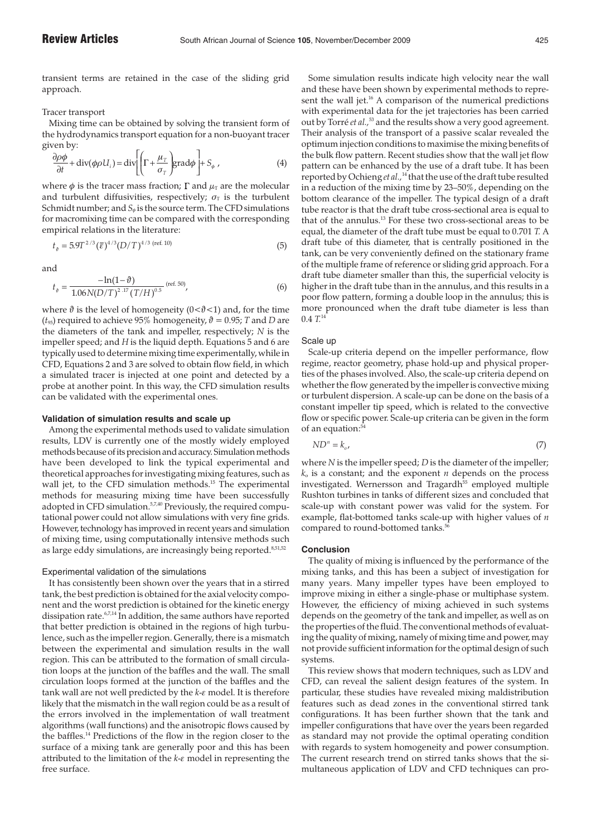transient terms are retained in the case of the sliding grid approach.

Tracer transport

Mixing time can be obtained by solving the transient form of the hydrodynamics transport equation for a non-buoyant tracer given by:

$$
\frac{\partial \rho \phi}{\partial t} + \text{div}(\phi \rho U_i) = \text{div}\left[\left(\Gamma + \frac{\mu_T}{\sigma_T}\right) \text{grad}\phi\right] + S_{\phi} \,,\tag{4}
$$

where  $\phi$  is the tracer mass fraction;  $\Gamma$  and  $\mu$ <sub>T</sub> are the molecular and turbulent diffusivities, respectively;  $\sigma_T$  is the turbulent Schmidt number; and  $S_{\phi}$  is the source term. The CFD simulations for macromixing time can be compared with the corresponding empirical relations in the literature:

$$
t_{\vartheta} = 5.9T^{2/3} (\bar{\varepsilon})^{1/3} (D/T)^{1/3 \text{ (ref. 10)}} \tag{5}
$$

and

$$
t_{\vartheta} = \frac{-\ln(1-\vartheta)}{1.06N(D/T)^{2.17}(T/H)^{0.5}} \text{ (ref. 50)},\tag{6}
$$

where  $\vartheta$  is the level of homogeneity ( $0 < \vartheta < 1$ ) and, for the time  $(t_{95})$  required to achieve 95% homogeneity,  $\vartheta = 0.95$ ; *T* and *D* are the diameters of the tank and impeller, respectively; *N* is the impeller speed; and *H* is the liquid depth. Equations 5 and 6 are typically used to determine mixing time experimentally, while in CFD, Equations 2 and 3 are solved to obtain flow field, in which a simulated tracer is injected at one point and detected by a probe at another point. In this way, the CFD simulation results can be validated with the experimental ones.

## **Validation of simulation results and scale up**

Among the experimental methods used to validate simulation results, LDV is currently one of the mostly widely employed methods because of its precision and accuracy. Simulation methods have been developed to link the typical experimental and theoretical approaches for investigating mixing features, such as wall jet, to the CFD simulation methods.<sup>15</sup> The experimental methods for measuring mixing time have been successfully adopted in CFD simulation.<sup>5,7,40</sup> Previously, the required computational power could not allow simulations with very fine grids. However, technology has improved in recent years and simulation of mixing time, using computationally intensive methods such as large eddy simulations, are increasingly being reported.<sup>8,51,52</sup>

## Experimental validation of the simulations

It has consistently been shown over the years that in a stirred tank, the best prediction is obtained for the axial velocity component and the worst prediction is obtained for the kinetic energy dissipation rate. $67,14$  In addition, the same authors have reported that better prediction is obtained in the regions of high turbulence, such as the impeller region. Generally, there is a mismatch between the experimental and simulation results in the wall region. This can be attributed to the formation of small circulation loops at the junction of the baffles and the wall. The small circulation loops formed at the junction of the baffles and the tank wall are not well predicted by the *k*-ε model. It is therefore likely that the mismatch in the wall region could be as a result of the errors involved in the implementation of wall treatment algorithms (wall functions) and the anisotropic flows caused by the baffles.14 Predictions of the flow in the region closer to the surface of a mixing tank are generally poor and this has been attributed to the limitation of the *k*-ε model in representing the free surface.

Some simulation results indicate high velocity near the wall and these have been shown by experimental methods to represent the wall jet.<sup>16</sup> A comparison of the numerical predictions with experimental data for the jet trajectories has been carried out by Torré et al.,<sup>53</sup> and the results show a very good agreement. Their analysis of the transport of a passive scalar revealed the optimum injection conditions to maximise the mixing benefits of the bulk flow pattern. Recent studies show that the wall jet flow pattern can be enhanced by the use of a draft tube. It has been reported by Ochieng et al.,<sup>14</sup> that the use of the draft tube resulted in a reduction of the mixing time by 23–50%, depending on the bottom clearance of the impeller. The typical design of a draft tube reactor is that the draft tube cross-sectional area is equal to that of the annulus.13 For these two cross-sectional areas to be equal, the diameter of the draft tube must be equal to 0.701 *T.* A draft tube of this diameter, that is centrally positioned in the tank, can be very conveniently defined on the stationary frame of the multiple frame of reference or sliding grid approach. For a draft tube diameter smaller than this, the superficial velocity is higher in the draft tube than in the annulus, and this results in a poor flow pattern, forming a double loop in the annulus; this is more pronounced when the draft tube diameter is less than  $0.4 T$ <sup>14</sup>

### Scale up

Scale-up criteria depend on the impeller performance, flow regime, reactor geometry, phase hold-up and physical properties of the phases involved. Also, the scale-up criteria depend on whether the flow generated by the impeller is convective mixing or turbulent dispersion. A scale-up can be done on the basis of a constant impeller tip speed, which is related to the convective flow or specific power. Scale-up criteria can be given in the form of an equation:<sup>5</sup>

$$
ND^n = k_o,
$$
\n<sup>(7)</sup>

where *N* is the impeller speed; *D* is the diameter of the impeller; *k*<sup>o</sup> is a constant; and the exponent *n* depends on the process investigated. Wernersson and Tragardh<sup>55</sup> employed multiple Rushton turbines in tanks of different sizes and concluded that scale-up with constant power was valid for the system. For example, flat-bottomed tanks scale-up with higher values of *n* compared to round-bottomed tanks.<sup>56</sup>

## **Conclusion**

The quality of mixing is influenced by the performance of the mixing tanks, and this has been a subject of investigation for many years. Many impeller types have been employed to improve mixing in either a single-phase or multiphase system. However, the efficiency of mixing achieved in such systems depends on the geometry of the tank and impeller, as well as on the properties of the fluid. The conventional methods of evaluating the quality of mixing, namely of mixing time and power, may not provide sufficient information for the optimal design of such systems.

This review shows that modern techniques, such as LDV and CFD, can reveal the salient design features of the system. In particular, these studies have revealed mixing maldistribution features such as dead zones in the conventional stirred tank configurations. It has been further shown that the tank and impeller configurations that have over the years been regarded as standard may not provide the optimal operating condition with regards to system homogeneity and power consumption. The current research trend on stirred tanks shows that the simultaneous application of LDV and CFD techniques can pro